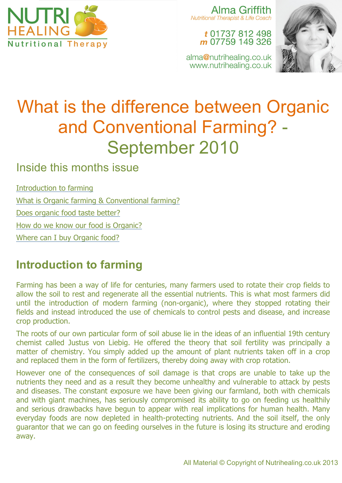

Alma Griffith Nutritional Therapist & Life Coach

> t 01737 812 498 m 07759 149 326

alma@nutrihealing.co.uk www.nutrihealing.co.uk



# What is the difference between Organic and Conventional Farming? - September 2010

#### Inside this months issue

Introduction to farming What is Organic farming & Conventional farming? Does organic food taste better? How do we know our food is Organic? Where can I buy Organic food?

### **Introduction to farming**

Farming has been a way of life for centuries, many farmers used to rotate their crop fields to allow the soil to rest and regenerate all the essential nutrients. This is what most farmers did until the introduction of modern farming (non-organic), where they stopped rotating their fields and instead introduced the use of chemicals to control pests and disease, and increase crop production.

The roots of our own particular form of soil abuse lie in the ideas of an influential 19th century chemist called Justus von Liebig. He offered the theory that soil fertility was principally a matter of chemistry. You simply added up the amount of plant nutrients taken off in a crop and replaced them in the form of fertilizers, thereby doing away with crop rotation.

However one of the consequences of soil damage is that crops are unable to take up the nutrients they need and as a result they become unhealthy and vulnerable to attack by pests and diseases. The constant exposure we have been giving our farmland, both with chemicals and with giant machines, has seriously compromised its ability to go on feeding us healthily and serious drawbacks have begun to appear with real implications for human health. Many everyday foods are now depleted in health-protecting nutrients. And the soil itself, the only guarantor that we can go on feeding ourselves in the future is losing its structure and eroding away.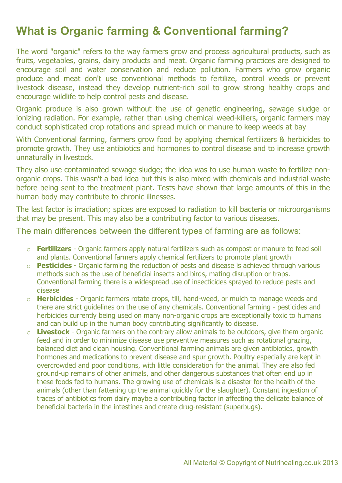## **What is Organic farming & Conventional farming?**

The word "organic" refers to the way farmers grow and process agricultural products, such as fruits, vegetables, grains, dairy products and meat. Organic farming practices are designed to encourage soil and water conservation and reduce pollution. Farmers who grow organic produce and meat don't use conventional methods to fertilize, control weeds or prevent livestock disease, instead they develop nutrient-rich soil to grow strong healthy crops and encourage wildlife to help control pests and disease.

Organic produce is also grown without the use of genetic engineering, sewage sludge or ionizing radiation. For example, rather than using chemical weed-killers, organic farmers may conduct sophisticated crop rotations and spread mulch or manure to keep weeds at bay

With Conventional farming, farmers grow food by applying chemical fertilizers & herbicides to promote growth. They use antibiotics and hormones to control disease and to increase growth unnaturally in livestock.

They also use contaminated sewage sludge; the idea was to use human waste to fertilize nonorganic crops. This wasn't a bad idea but this is also mixed with chemicals and industrial waste before being sent to the treatment plant. Tests have shown that large amounts of this in the human body may contribute to chronic illnesses.

The last factor is irradiation; spices are exposed to radiation to kill bacteria or microorganisms that may be present. This may also be a contributing factor to various diseases.

The main differences between the different types of farming are as follows:

- o **Fertilizers** Organic farmers apply natural fertilizers such as compost or manure to feed soil and plants. Conventional farmers apply chemical fertilizers to promote plant growth
- o **Pesticides** Organic farming the reduction of pests and disease is achieved through various methods such as the use of beneficial insects and birds, mating disruption or traps. Conventional farming there is a widespread use of insecticides sprayed to reduce pests and disease
- o **Herbicides** Organic farmers rotate crops, till, hand-weed, or mulch to manage weeds and there are strict guidelines on the use of any chemicals. Conventional farming - pesticides and herbicides currently being used on many non-organic crops are exceptionally toxic to humans and can build up in the human body contributing significantly to disease.
- o **Livestock** Organic farmers on the contrary allow animals to be outdoors, give them organic feed and in order to minimize disease use preventive measures such as rotational grazing, balanced diet and clean housing. Conventional farming animals are given antibiotics, growth hormones and medications to prevent disease and spur growth. Poultry especially are kept in overcrowded and poor conditions, with little consideration for the animal. They are also fed ground-up remains of other animals, and other dangerous substances that often end up in these foods fed to humans. The growing use of chemicals is a disaster for the health of the animals (other than fattening up the animal quickly for the slaughter). Constant ingestion of traces of antibiotics from dairy maybe a contributing factor in affecting the delicate balance of beneficial bacteria in the intestines and create drug-resistant (superbugs).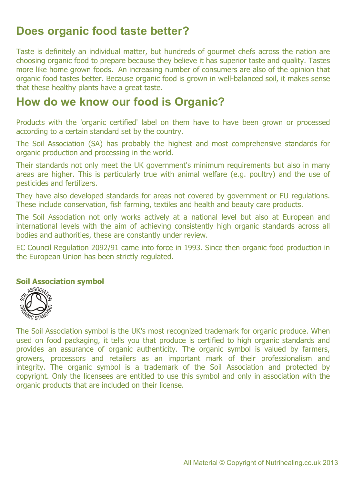#### **Does organic food taste better?**

Taste is definitely an individual matter, but hundreds of gourmet chefs across the nation are choosing organic food to prepare because they believe it has superior taste and quality. Tastes more like home grown foods. An increasing number of consumers are also of the opinion that organic food tastes better. Because organic food is grown in well-balanced soil, it makes sense that these healthy plants have a great taste.

#### **How do we know our food is Organic?**

Products with the 'organic certified' label on them have to have been grown or processed according to a certain standard set by the country.

The Soil Association (SA) has probably the highest and most comprehensive standards for organic production and processing in the world.

Their standards not only meet the UK government's minimum requirements but also in many areas are higher. This is particularly true with animal welfare (e.g. poultry) and the use of pesticides and fertilizers.

They have also developed standards for areas not covered by government or EU regulations. These include conservation, fish farming, textiles and health and beauty care products.

The Soil Association not only works actively at a national level but also at European and international levels with the aim of achieving consistently high organic standards across all bodies and authorities, these are constantly under review.

EC Council Regulation 2092/91 came into force in 1993. Since then organic food production in the European Union has been strictly regulated.

#### **Soil Association symbol**



The Soil Association symbol is the UK's most recognized trademark for organic produce. When used on food packaging, it tells you that produce is certified to high organic standards and provides an assurance of organic authenticity. The organic symbol is valued by farmers, growers, processors and retailers as an important mark of their professionalism and integrity. The organic symbol is a trademark of the Soil Association and protected by copyright. Only the licensees are entitled to use this symbol and only in association with the organic products that are included on their license.